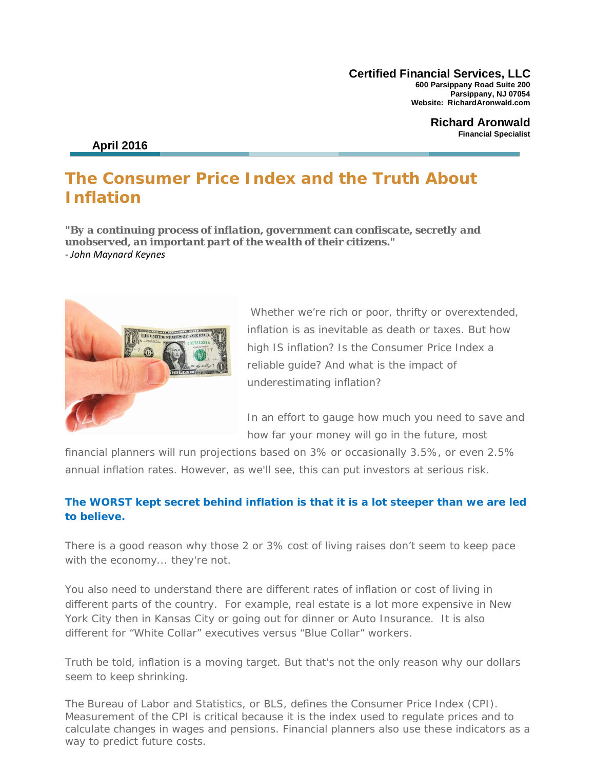**Certified Financial Services, LLC 600 Parsippany Road Suite 200 Parsippany, NJ 07054 Website: RichardAronwald.com**

> **Richard Aronwald Financial Specialist**

## **April 2016**

# **The Consumer Price Index and the Truth About Inflation**

*"By a continuing process of inflation, government can confiscate, secretly and unobserved, an important part of the wealth of their citizens."* *- John Maynard Keynes*



Whether we're rich or poor, thrifty or overextended, inflation is as inevitable as death or taxes. But how high IS inflation? Is the Consumer Price Index a reliable guide? And what is the impact of underestimating inflation?

In an effort to gauge how much you need to save and how far your money will go in the future, most

financial planners will run projections based on 3% or occasionally 3.5%, or even 2.5% annual inflation rates. However, as we'll see, this can put investors at serious risk.

## **The WORST kept secret behind inflation is that it is a lot steeper than we are led to believe.**

There is a good reason why those 2 or 3% cost of living raises don't seem to keep pace with the economy... they're not.

You also need to understand there are different rates of inflation or cost of living in different parts of the country. For example, real estate is a lot more expensive in New York City then in Kansas City or going out for dinner or Auto Insurance. It is also different for "White Collar" executives versus "Blue Collar" workers.

Truth be told, inflation is a moving target. But that's not the only reason why our dollars seem to keep shrinking.

The Bureau of Labor and Statistics, or BLS, defines the Consumer Price Index (CPI). Measurement of the CPI is critical because it is the index used to regulate prices and to calculate changes in wages and pensions. Financial planners also use these indicators as a way to predict future costs.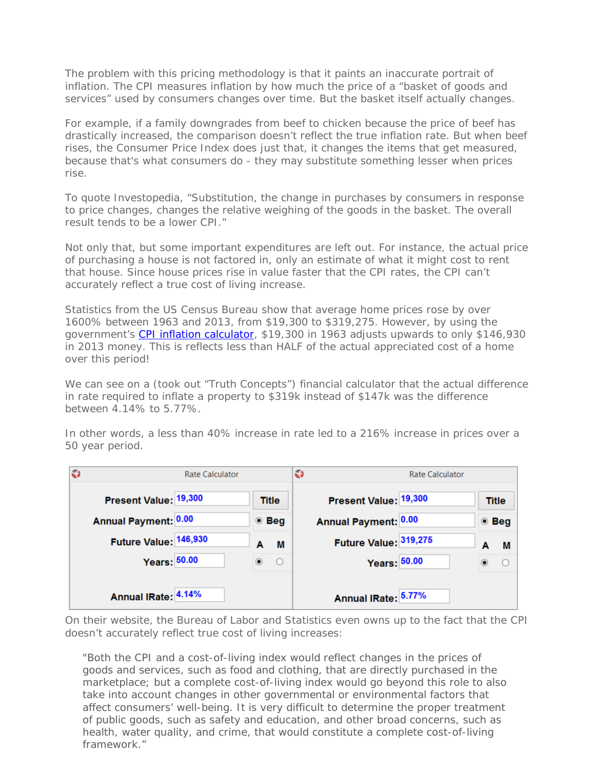The problem with this pricing methodology is that it paints an inaccurate portrait of inflation. The CPI measures inflation by how much the price of a "basket of goods and services" used by consumers changes over time. But the basket itself actually changes.

For example, if a family downgrades from beef to chicken because the price of beef has drastically increased, the comparison doesn't reflect the true inflation rate. But when beef rises, the Consumer Price Index does just that, it changes the items that get measured, because that's what consumers do - they may substitute something lesser when prices rise.

To quote Investopedia, "Substitution, the change in purchases by consumers in response to price changes, changes the relative weighing of the goods in the basket. The overall result tends to be a lower CPI."

Not only that, but some important expenditures are left out. For instance, the actual price of purchasing a house is not factored in, only an estimate of what it might cost to rent that house. Since house prices rise in value faster that the CPI rates, the CPI can't accurately reflect a true cost of living increase.

Statistics from the US Census Bureau show that average home prices rose by over 1600% between 1963 and 2013, from \$19,300 to \$319,275. However, by using the government's [CPI inflation calculator,](http://data.bls.gov/cgi-bin/cpicalc.pl) \$19,300 in 1963 adjusts upwards to only \$146,930 in 2013 money. This is reflects less than HALF of the actual appreciated cost of a home over this period!

We can see on a (took out "Truth Concepts") financial calculator that the actual difference in rate required to inflate a property to \$319k instead of \$147k was the difference between 4.14% to 5.77%.

In other words, a less than 40% increase in rate led to a 216% increase in prices over a 50 year period.

| $\bullet$ | <b>Rate Calculator</b> |               |         | G | <b>Rate Calculator</b> |  |                  |               |                |
|-----------|------------------------|---------------|---------|---|------------------------|--|------------------|---------------|----------------|
|           | Present Value: 19,300  | Title         |         |   | Present Value: 19,300  |  |                  | <b>Title</b>  |                |
|           | Annual Payment: 0.00   | $\bullet$ Beg |         |   | Annual Payment: 0.00   |  |                  | $\bullet$ Beg |                |
|           | Future Value: 146,930  | A             | М       |   | Future Value: 319,275  |  |                  | A             | M              |
|           | <b>Years: 50.00</b>    | $\odot$       | $\circ$ |   | Years: 50.00           |  | $\circledbullet$ |               | $\overline{O}$ |
|           | Annual IRate: 4.14%    |               |         |   | Annual IRate: 5.77%    |  |                  |               |                |

On their website, the Bureau of Labor and Statistics even owns up to the fact that the CPI doesn't accurately reflect true cost of living increases:

*"Both the CPI and a cost-of-living index would reflect changes in the prices of goods and services, such as food and clothing, that are directly purchased in the marketplace; but a complete cost-of-living index would go beyond this role to also take into account changes in other governmental or environmental factors that affect consumers' well-being. It is very difficult to determine the proper treatment of public goods, such as safety and education, and other broad concerns, such as health, water quality, and crime, that would constitute a complete cost-of-living framework."*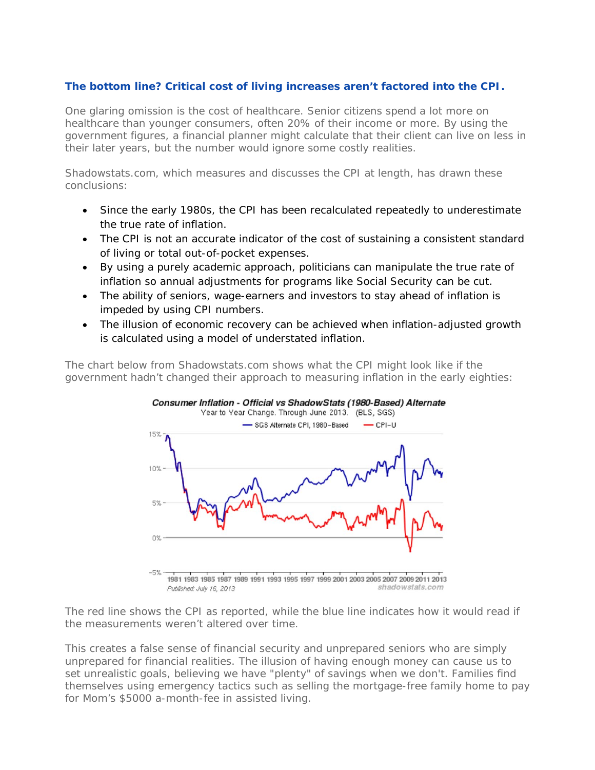## **The bottom line? Critical cost of living increases aren't factored into the CPI.**

One glaring omission is the cost of healthcare. Senior citizens spend a lot more on healthcare than younger consumers, often 20% of their income or more. By using the government figures, a financial planner might calculate that their client can live on less in their later years, but the number would ignore some costly realities.

Shadowstats.com, which measures and discusses the CPI at length, has drawn these conclusions:

- Since the early 1980s, the CPI has been recalculated repeatedly to underestimate the true rate of inflation.
- The CPI is not an accurate indicator of the cost of sustaining a consistent standard of living or total out-of-pocket expenses.
- By using a purely academic approach, politicians can manipulate the true rate of inflation so annual adjustments for programs like Social Security can be cut.
- The ability of seniors, wage-earners and investors to stay ahead of inflation is impeded by using CPI numbers.
- The illusion of economic recovery can be achieved when inflation-adjusted growth is calculated using a model of understated inflation.

The chart below from Shadowstats.com shows what the CPI might look like if the government hadn't changed their approach to measuring inflation in the early eighties:



The red line shows the CPI as reported, while the blue line indicates how it would read if the measurements weren't altered over time.

This creates a false sense of financial security and unprepared seniors who are simply unprepared for financial realities. The illusion of having enough money can cause us to set unrealistic goals, believing we have "plenty" of savings when we don't. Families find themselves using emergency tactics such as selling the mortgage-free family home to pay for Mom's \$5000 a-month-fee in assisted living.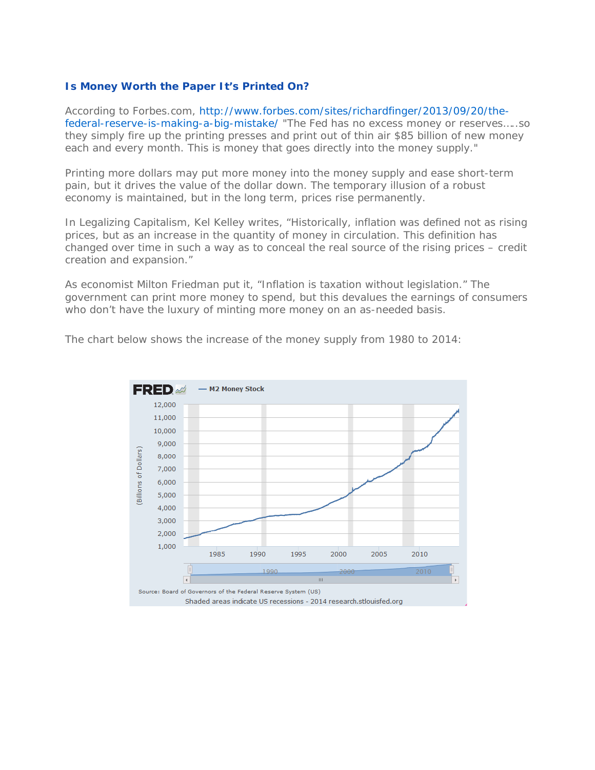### **Is Money Worth the Paper It's Printed On?**

According to Forbes.com, http://www.forbes.com/sites/richardfinger/2013/09/20/thefederal-reserve-is-making-a-big-mistake/ "The Fed has no excess money or reserves…..so they simply fire up the printing presses and print out of thin air \$85 billion of new money each and every month. This is money that goes directly into the money supply."

Printing more dollars may put more money into the money supply and ease short-term pain, but it drives the value of the dollar down. The temporary illusion of a robust economy is maintained, but in the long term, prices rise permanently.

In Legalizing Capitalism, Kel Kelley writes, "Historically, inflation was defined not as rising prices, but as an increase in the quantity of money in circulation. This definition has changed over time in such a way as to conceal the real source of the rising prices – credit creation and expansion."

As economist Milton Friedman put it, "Inflation is taxation without legislation." The government can print more money to spend, but this devalues the earnings of consumers who don't have the luxury of minting more money on an as-needed basis.

The chart below shows the increase of the money supply from 1980 to 2014:

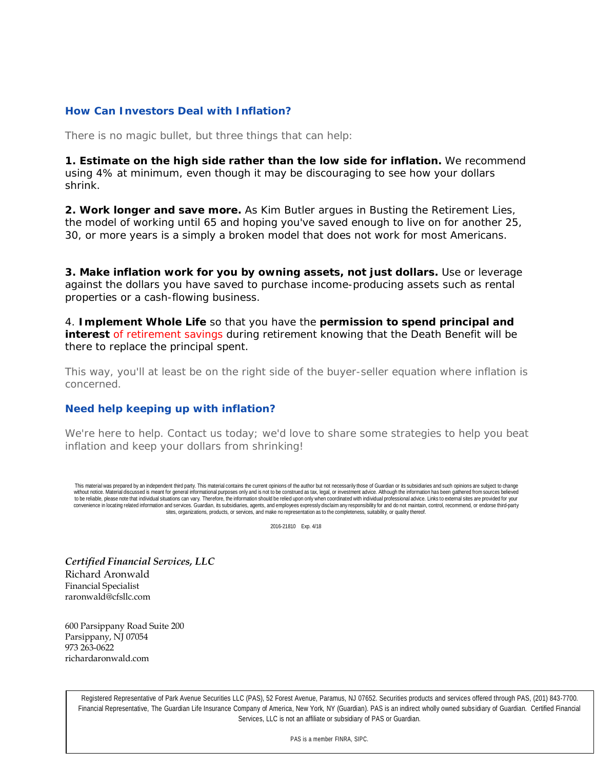### **How Can Investors Deal with Inflation?**

There is no magic bullet, but three things that can help:

**1. Estimate on the high side rather than the low side for inflation.** We recommend using 4% at minimum, even though it may be discouraging to see how your dollars shrink.

**2. Work longer and save more.** As Kim Butler argues in *Busting the Retirement Lies*, the model of working until 65 and hoping you've saved enough to live on for another 25, 30, or more years is a simply a broken model that does not work for most Americans.

**3. Make inflation work for you by owning** *assets***, not just dollars.** Use or leverage against the dollars you have saved to purchase income-producing assets such as rental properties or a cash-flowing business.

4. **Implement Whole Life** so that you have the **permission to spend principal and interest** of retirement savings during retirement knowing that the Death Benefit will be there to replace the principal spent.

This way, you'll at least be on the right side of the buyer-seller equation where inflation is concerned.

### **Need help keeping up with inflation?**

We're here to help. Contact us today; we'd love to share some strategies to help you beat inflation and keep your dollars from shrinking!

This material was prepared by an independent third party. This material contains the current opinions of the author but not necessarily those of Guardian or its subsidiaries and such opinions are subject to change without notice. Material discussed is meant for general informational purposes only and is not to be construed as tax, legal, or investment advice. Although the information has been gathered from sources believed to be reliable, please note that individual situations can vary. Therefore, the information should be relied upon only when coordinated with individual professional advice. Links to external sites are provided for your convenience in locating related information and services. Guardian, its subsidiaries, agents, and employees expressly disclaim any responsibility for and do not maintain, control, recommend, or endorse third-party sites, organizations, products, or services, and make no representation as to the completeness, suitability, or quality thereof.

2016-21810 Exp. 4/18

*Certified Financial Services, LLC* Richard Aronwald Financial Specialist raronwald@cfsllc.com

600 Parsippany Road Suite 200 Parsippany, NJ 07054 973 263-0622 richardaronwald.com

> Registered Representative of Park Avenue Securities LLC (PAS), 52 Forest Avenue, Paramus, NJ 07652. Securities products and services offered through PAS, (201) 843-7700. Financial Representative, The Guardian Life Insurance Company of America, New York, NY (Guardian). PAS is an indirect wholly owned subsidiary of Guardian. Certified Financial Services, LLC is not an affiliate or subsidiary of PAS or Guardian.

> > PAS is a member FINRA, SIPC.